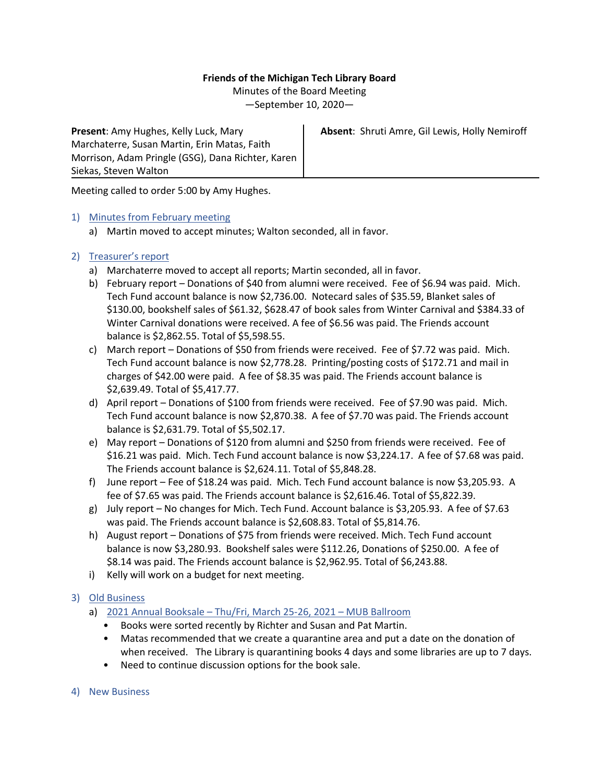# **Friends of the Michigan Tech Library Board**

Minutes of the Board Meeting

—September 10, 2020—

**Present**: Amy Hughes, Kelly Luck, Mary Marchaterre, Susan Martin, Erin Matas, Faith Morrison, Adam Pringle (GSG), Dana Richter, Karen Siekas, Steven Walton

**Absent**: Shruti Amre, Gil Lewis, Holly Nemiroff

Meeting called to order 5:00 by Amy Hughes.

# 1) Minutes from February meeting

a) Martin moved to accept minutes; Walton seconded, all in favor.

# 2) Treasurer's report

- a) Marchaterre moved to accept all reports; Martin seconded, all in favor.
- b) February report Donations of \$40 from alumni were received. Fee of \$6.94 was paid. Mich. Tech Fund account balance is now \$2,736.00. Notecard sales of \$35.59, Blanket sales of \$130.00, bookshelf sales of \$61.32, \$628.47 of book sales from Winter Carnival and \$384.33 of Winter Carnival donations were received. A fee of \$6.56 was paid. The Friends account balance is \$2,862.55. Total of \$5,598.55.
- c) March report Donations of \$50 from friends were received. Fee of \$7.72 was paid. Mich. Tech Fund account balance is now \$2,778.28. Printing/posting costs of \$172.71 and mail in charges of \$42.00 were paid. A fee of \$8.35 was paid. The Friends account balance is \$2,639.49. Total of \$5,417.77.
- d) April report Donations of \$100 from friends were received. Fee of \$7.90 was paid. Mich. Tech Fund account balance is now \$2,870.38. A fee of \$7.70 was paid. The Friends account balance is \$2,631.79. Total of \$5,502.17.
- e) May report Donations of \$120 from alumni and \$250 from friends were received. Fee of \$16.21 was paid. Mich. Tech Fund account balance is now \$3,224.17. A fee of \$7.68 was paid. The Friends account balance is \$2,624.11. Total of \$5,848.28.
- f) June report Fee of \$18.24 was paid. Mich. Tech Fund account balance is now \$3,205.93. A fee of \$7.65 was paid. The Friends account balance is \$2,616.46. Total of \$5,822.39.
- g) July report No changes for Mich. Tech Fund. Account balance is \$3,205.93. A fee of \$7.63 was paid. The Friends account balance is \$2,608.83. Total of \$5,814.76.
- h) August report Donations of \$75 from friends were received. Mich. Tech Fund account balance is now \$3,280.93. Bookshelf sales were \$112.26, Donations of \$250.00. A fee of \$8.14 was paid. The Friends account balance is \$2,962.95. Total of \$6,243.88.
- i) Kelly will work on a budget for next meeting.

# 3) Old Business

- a) 2021 Annual Booksale Thu/Fri, March 25-26, 2021 MUB Ballroom
	- Books were sorted recently by Richter and Susan and Pat Martin.
	- Matas recommended that we create a quarantine area and put a date on the donation of when received. The Library is quarantining books 4 days and some libraries are up to 7 days.
	- Need to continue discussion options for the book sale.
- 4) New Business